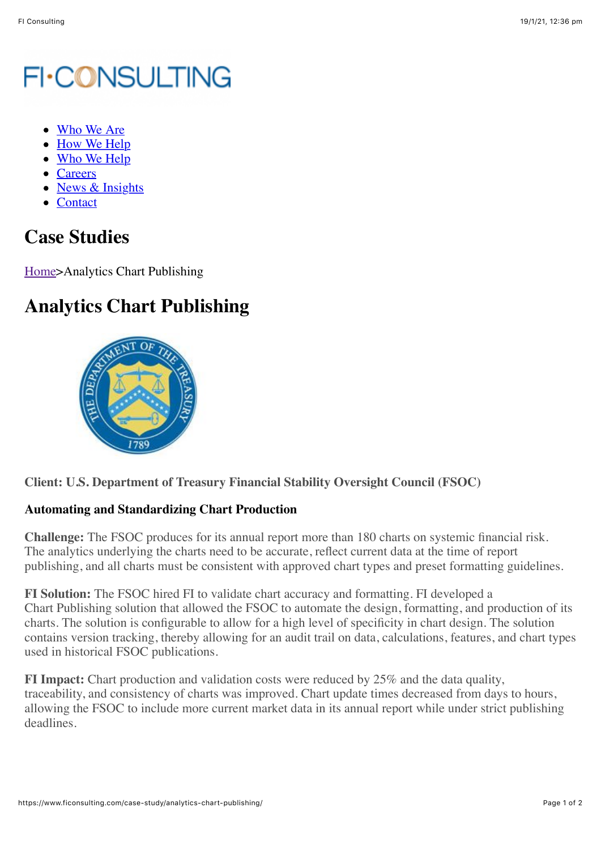## **FI-CONSULTING**

- [Who We Are](https://www.ficonsulting.com/who-we-are/)
- [How We Help](https://www.ficonsulting.com/how-we-help/)
- [Who We Help](https://www.ficonsulting.com/who-we-help/)
- [Careers](https://www.ficonsulting.com/careers/)
- [News & Insights](https://www.ficonsulting.com/news-insights/)
- [Contact](https://www.ficonsulting.com/contact/)

## **Case Studies**

[Home>](https://www.ficonsulting.com/)Analytics Chart Publishing

## **Analytics Chart Publishing**



## **Automating and Standardizing Chart Production**

**Challenge:** The FSOC produces for its annual report more than 180 charts on systemic financial risk. The analytics underlying the charts need to be accurate, reflect current data at the time of report publishing, and all charts must be consistent with approved chart types and preset formatting guidelines.

**FI Solution:** The FSOC hired FI to validate chart accuracy and formatting. FI developed a Chart Publishing solution that allowed the FSOC to automate the design, formatting, and production of its charts. The solution is configurable to allow for a high level of specificity in chart design. The solution contains version tracking, thereby allowing for an audit trail on data, calculations, features, and chart types used in historical FSOC publications.

**FI Impact:** Chart production and validation costs were reduced by 25% and the data quality, traceability, and consistency of charts was improved. Chart update times decreased from days to hours, allowing the FSOC to include more current market data in its annual report while under strict publishing deadlines.